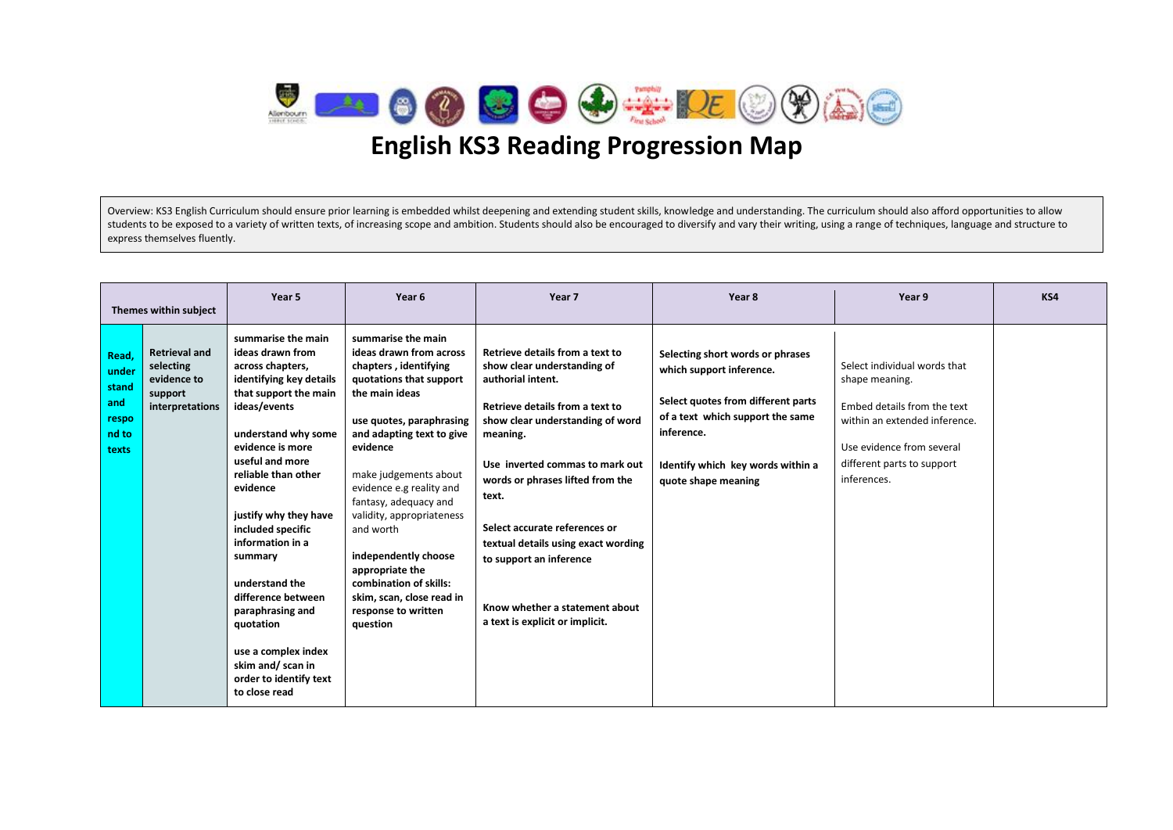

Overview: KS3 English Curriculum should ensure prior learning is embedded whilst deepening and extending student skills, knowledge and understanding. The curriculum should also afford opportunities to allow students to be exposed to a variety of written texts, of increasing scope and ambition. Students should also be encouraged to diversify and vary their writing, using a range of techniques, language and structure to express themselves fluently.

|                                                           | Themes within subject                                                          | Year 5                                                                                                                                                                                                                                                                                                                                                                                                                                                                      | Year <sub>6</sub>                                                                                                                                                                                                                                                                                                                                                                                                                                     | Year 7                                                                                                                                                                                                                                                                                                                                                                                                                         | Year 8                                                                                                                                                                                                           | Year 9                                                                                                                                                                                   | KS4 |
|-----------------------------------------------------------|--------------------------------------------------------------------------------|-----------------------------------------------------------------------------------------------------------------------------------------------------------------------------------------------------------------------------------------------------------------------------------------------------------------------------------------------------------------------------------------------------------------------------------------------------------------------------|-------------------------------------------------------------------------------------------------------------------------------------------------------------------------------------------------------------------------------------------------------------------------------------------------------------------------------------------------------------------------------------------------------------------------------------------------------|--------------------------------------------------------------------------------------------------------------------------------------------------------------------------------------------------------------------------------------------------------------------------------------------------------------------------------------------------------------------------------------------------------------------------------|------------------------------------------------------------------------------------------------------------------------------------------------------------------------------------------------------------------|------------------------------------------------------------------------------------------------------------------------------------------------------------------------------------------|-----|
| Read,<br>under<br>stand<br>and<br>respo<br>nd to<br>texts | <b>Retrieval and</b><br>selecting<br>evidence to<br>support<br>interpretations | summarise the main<br>ideas drawn from<br>across chapters,<br>identifying key details<br>that support the main<br>ideas/events<br>understand why some<br>evidence is more<br>useful and more<br>reliable than other<br>evidence<br>justify why they have<br>included specific<br>information in a<br>summary<br>understand the<br>difference between<br>paraphrasing and<br>quotation<br>use a complex index<br>skim and/scan in<br>order to identify text<br>to close read | summarise the main<br>ideas drawn from across<br>chapters, identifying<br>quotations that support<br>the main ideas<br>use quotes, paraphrasing<br>and adapting text to give<br>evidence<br>make judgements about<br>evidence e.g reality and<br>fantasy, adequacy and<br>validity, appropriateness<br>and worth<br>independently choose<br>appropriate the<br>combination of skills:<br>skim, scan, close read in<br>response to written<br>question | Retrieve details from a text to<br>show clear understanding of<br>authorial intent.<br>Retrieve details from a text to<br>show clear understanding of word<br>meaning.<br>Use inverted commas to mark out<br>words or phrases lifted from the<br>text.<br>Select accurate references or<br>textual details using exact wording<br>to support an inference<br>Know whether a statement about<br>a text is explicit or implicit. | Selecting short words or phrases<br>which support inference.<br>Select quotes from different parts<br>of a text which support the same<br>inference.<br>Identify which key words within a<br>quote shape meaning | Select individual words that<br>shape meaning.<br>Embed details from the text<br>within an extended inference.<br>Use evidence from several<br>different parts to support<br>inferences. |     |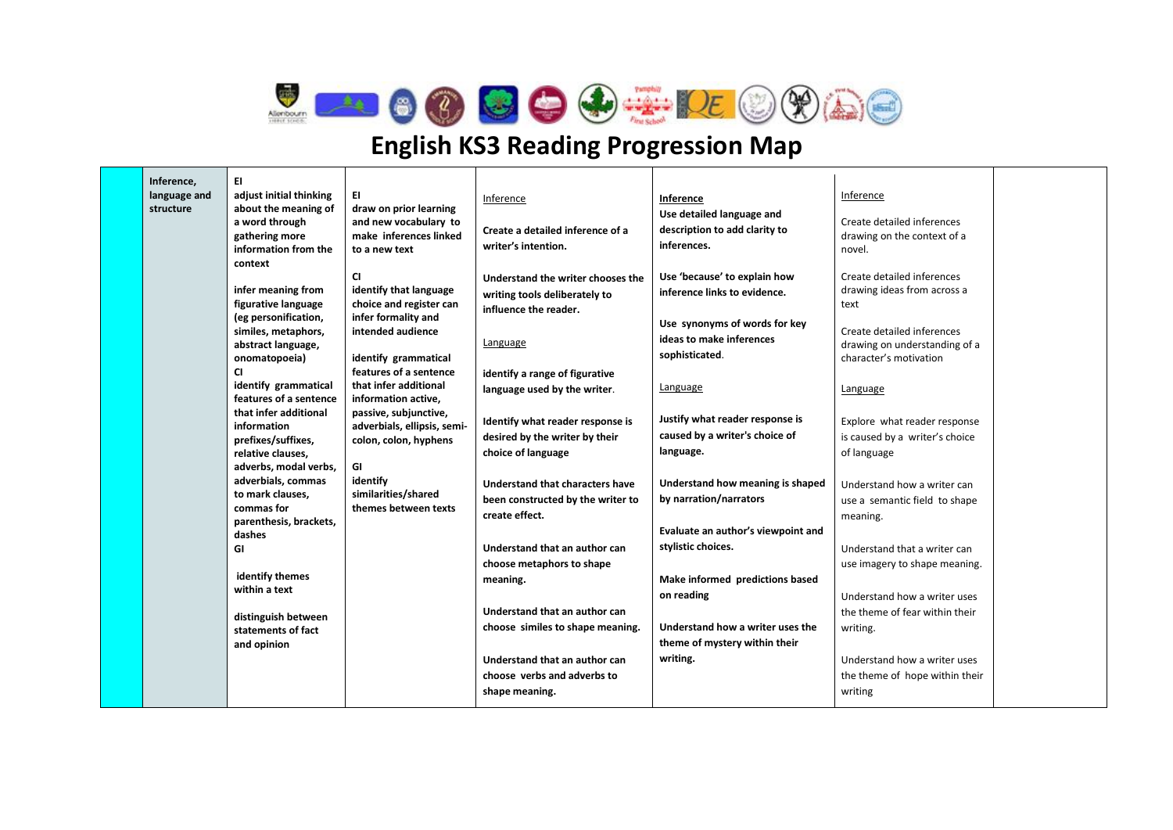

 $\mathbf{r}$ 

 $\overline{\phantom{a}}$ 

 $\overline{\phantom{a}}$ 

| Inference,<br>language and | EL<br>adjust initial thinking                                                                                                   | EI.                                                                                                                                | Inference                                                                                               | Inference                                                                                                                                   | Inference                                                                                                                                                  |  |
|----------------------------|---------------------------------------------------------------------------------------------------------------------------------|------------------------------------------------------------------------------------------------------------------------------------|---------------------------------------------------------------------------------------------------------|---------------------------------------------------------------------------------------------------------------------------------------------|------------------------------------------------------------------------------------------------------------------------------------------------------------|--|
| structure                  | about the meaning of<br>a word through<br>gathering more<br>information from the<br>context                                     | draw on prior learning<br>and new vocabulary to<br>make inferences linked<br>to a new text                                         | Create a detailed inference of a<br>writer's intention.                                                 | Use detailed language and<br>description to add clarity to<br>inferences.                                                                   | Create detailed inferences<br>drawing on the context of a<br>novel.                                                                                        |  |
|                            | infer meaning from<br>figurative language<br>(eg personification,<br>similes, metaphors,<br>abstract language,<br>onomatopoeia) | <b>CI</b><br>identify that language<br>choice and register can<br>infer formality and<br>intended audience<br>identify grammatical | Understand the writer chooses the<br>writing tools deliberately to<br>influence the reader.<br>Language | Use 'because' to explain how<br>inference links to evidence.<br>Use synonyms of words for key<br>ideas to make inferences<br>sophisticated. | Create detailed inferences<br>drawing ideas from across a<br>text<br>Create detailed inferences<br>drawing on understanding of a<br>character's motivation |  |
|                            | <b>CI</b><br>identify grammatical<br>features of a sentence<br>that infer additional                                            | features of a sentence<br>that infer additional<br>information active,<br>passive, subjunctive,                                    | identify a range of figurative<br>language used by the writer.                                          | Language                                                                                                                                    | Language                                                                                                                                                   |  |
|                            | information<br>prefixes/suffixes,<br>relative clauses,                                                                          | adverbials, ellipsis, semi-<br>colon, colon, hyphens                                                                               | Identify what reader response is<br>desired by the writer by their<br>choice of language                | Justify what reader response is<br>caused by a writer's choice of<br>language.                                                              | Explore what reader response<br>is caused by a writer's choice<br>of language                                                                              |  |
|                            | adverbs, modal verbs,<br>adverbials, commas<br>to mark clauses,<br>commas for<br>parenthesis, brackets,                         | GI<br>identify<br>similarities/shared<br>themes between texts                                                                      | Understand that characters have<br>been constructed by the writer to<br>create effect.                  | Understand how meaning is shaped<br>by narration/narrators<br>Evaluate an author's viewpoint and                                            | Understand how a writer can<br>use a semantic field to shape<br>meaning.                                                                                   |  |
|                            | dashes<br>GI<br>identify themes<br>within a text                                                                                |                                                                                                                                    | Understand that an author can<br>choose metaphors to shape<br>meaning.                                  | stylistic choices.<br>Make informed predictions based<br>on reading                                                                         | Understand that a writer can<br>use imagery to shape meaning.<br>Understand how a writer uses                                                              |  |
|                            | distinguish between<br>statements of fact<br>and opinion                                                                        |                                                                                                                                    | Understand that an author can<br>choose similes to shape meaning.<br>Understand that an author can      | Understand how a writer uses the<br>theme of mystery within their<br>writing.                                                               | the theme of fear within their<br>writing.<br>Understand how a writer uses                                                                                 |  |
|                            |                                                                                                                                 |                                                                                                                                    | choose verbs and adverbs to<br>shape meaning.                                                           |                                                                                                                                             | the theme of hope within their<br>writing                                                                                                                  |  |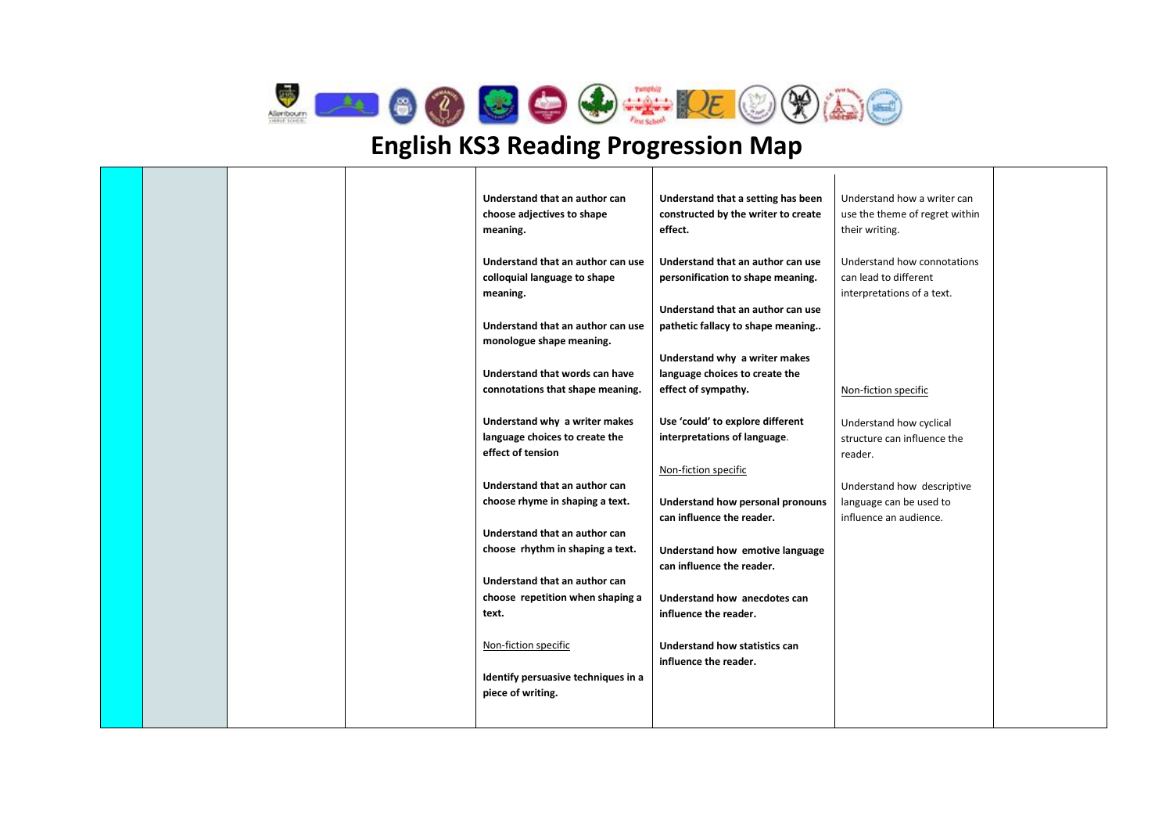

|  | Understand that an author can       | Understand that a setting has been  | Understand how a writer can    |  |
|--|-------------------------------------|-------------------------------------|--------------------------------|--|
|  | choose adjectives to shape          | constructed by the writer to create | use the theme of regret within |  |
|  | meaning.                            | effect.                             | their writing.                 |  |
|  |                                     |                                     |                                |  |
|  | Understand that an author can use   | Understand that an author can use   | Understand how connotations    |  |
|  | colloquial language to shape        | personification to shape meaning.   | can lead to different          |  |
|  | meaning.                            |                                     | interpretations of a text.     |  |
|  |                                     |                                     |                                |  |
|  |                                     | Understand that an author can use   |                                |  |
|  | Understand that an author can use   | pathetic fallacy to shape meaning   |                                |  |
|  | monologue shape meaning.            |                                     |                                |  |
|  |                                     | Understand why a writer makes       |                                |  |
|  | Understand that words can have      | language choices to create the      |                                |  |
|  | connotations that shape meaning.    | effect of sympathy.                 | Non-fiction specific           |  |
|  |                                     |                                     |                                |  |
|  | Understand why a writer makes       | Use 'could' to explore different    | Understand how cyclical        |  |
|  | language choices to create the      | interpretations of language.        | structure can influence the    |  |
|  | effect of tension                   |                                     | reader.                        |  |
|  |                                     | Non-fiction specific                |                                |  |
|  | Understand that an author can       |                                     |                                |  |
|  |                                     |                                     | Understand how descriptive     |  |
|  | choose rhyme in shaping a text.     | Understand how personal pronouns    | language can be used to        |  |
|  |                                     | can influence the reader.           | influence an audience.         |  |
|  | Understand that an author can       |                                     |                                |  |
|  | choose rhythm in shaping a text.    | Understand how emotive language     |                                |  |
|  |                                     | can influence the reader.           |                                |  |
|  | Understand that an author can       |                                     |                                |  |
|  | choose repetition when shaping a    | Understand how anecdotes can        |                                |  |
|  | text.                               | influence the reader.               |                                |  |
|  |                                     |                                     |                                |  |
|  | Non-fiction specific                | Understand how statistics can       |                                |  |
|  |                                     | influence the reader.               |                                |  |
|  | Identify persuasive techniques in a |                                     |                                |  |
|  | piece of writing.                   |                                     |                                |  |
|  |                                     |                                     |                                |  |
|  |                                     |                                     |                                |  |
|  |                                     |                                     |                                |  |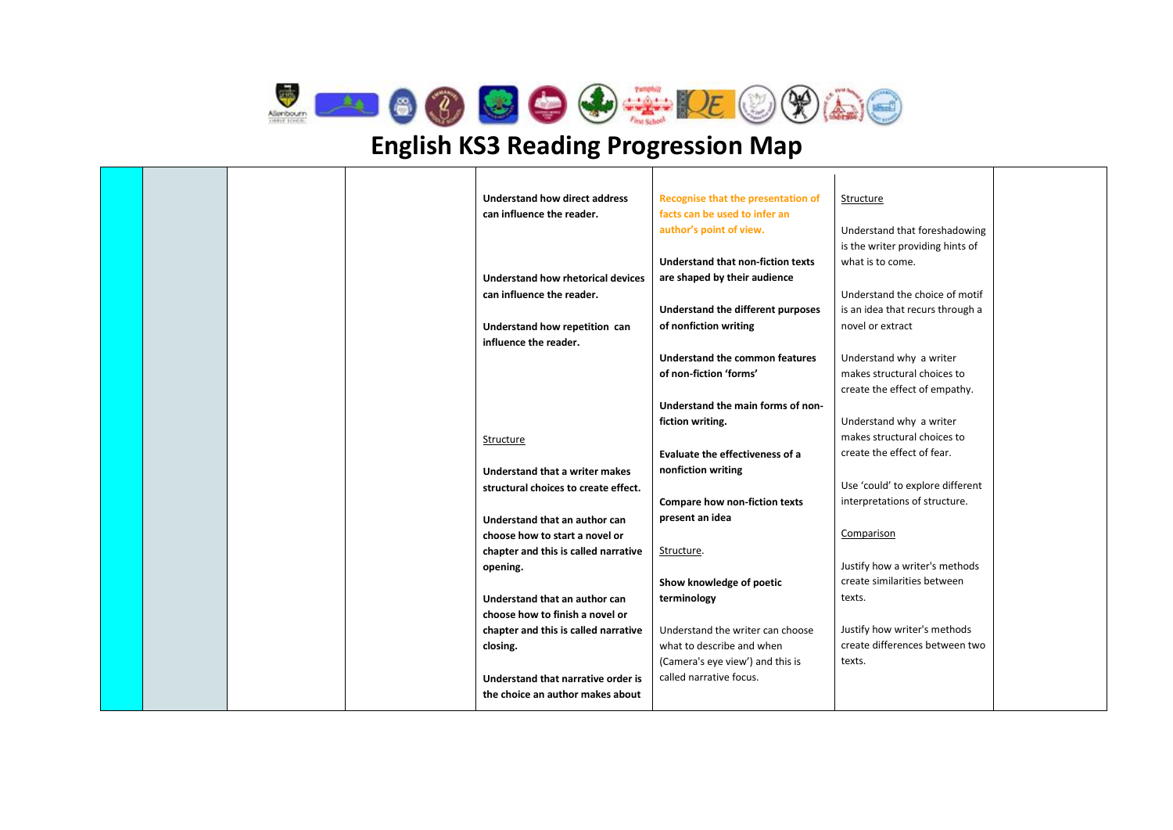

|  |  | <b>Understand how direct address</b>     | Recognise that the presentation of | Structure                        |
|--|--|------------------------------------------|------------------------------------|----------------------------------|
|  |  | can influence the reader.                | facts can be used to infer an      |                                  |
|  |  |                                          | author's point of view.            | Understand that foreshadowing    |
|  |  |                                          |                                    | is the writer providing hints of |
|  |  |                                          | Understand that non-fiction texts  | what is to come.                 |
|  |  | <b>Understand how rhetorical devices</b> | are shaped by their audience       |                                  |
|  |  | can influence the reader.                |                                    | Understand the choice of motif   |
|  |  |                                          | Understand the different purposes  | is an idea that recurs through a |
|  |  | Understand how repetition can            | of nonfiction writing              | novel or extract                 |
|  |  | influence the reader.                    |                                    |                                  |
|  |  |                                          | Understand the common features     | Understand why a writer          |
|  |  |                                          | of non-fiction 'forms'             | makes structural choices to      |
|  |  |                                          |                                    | create the effect of empathy.    |
|  |  |                                          | Understand the main forms of non-  |                                  |
|  |  |                                          | fiction writing.                   | Understand why a writer          |
|  |  | Structure                                |                                    | makes structural choices to      |
|  |  |                                          | Evaluate the effectiveness of a    | create the effect of fear.       |
|  |  | Understand that a writer makes           | nonfiction writing                 |                                  |
|  |  | structural choices to create effect.     |                                    | Use 'could' to explore different |
|  |  |                                          | Compare how non-fiction texts      | interpretations of structure.    |
|  |  | Understand that an author can            | present an idea                    |                                  |
|  |  | choose how to start a novel or           |                                    | Comparison                       |
|  |  | chapter and this is called narrative     | Structure.                         |                                  |
|  |  | opening.                                 |                                    | Justify how a writer's methods   |
|  |  |                                          | Show knowledge of poetic           | create similarities between      |
|  |  | Understand that an author can            | terminology                        | texts.                           |
|  |  | choose how to finish a novel or          |                                    |                                  |
|  |  | chapter and this is called narrative     | Understand the writer can choose   | Justify how writer's methods     |
|  |  | closing.                                 | what to describe and when          | create differences between two   |
|  |  |                                          | (Camera's eye view') and this is   | texts.                           |
|  |  | Understand that narrative order is       | called narrative focus.            |                                  |
|  |  | the choice an author makes about         |                                    |                                  |
|  |  |                                          |                                    |                                  |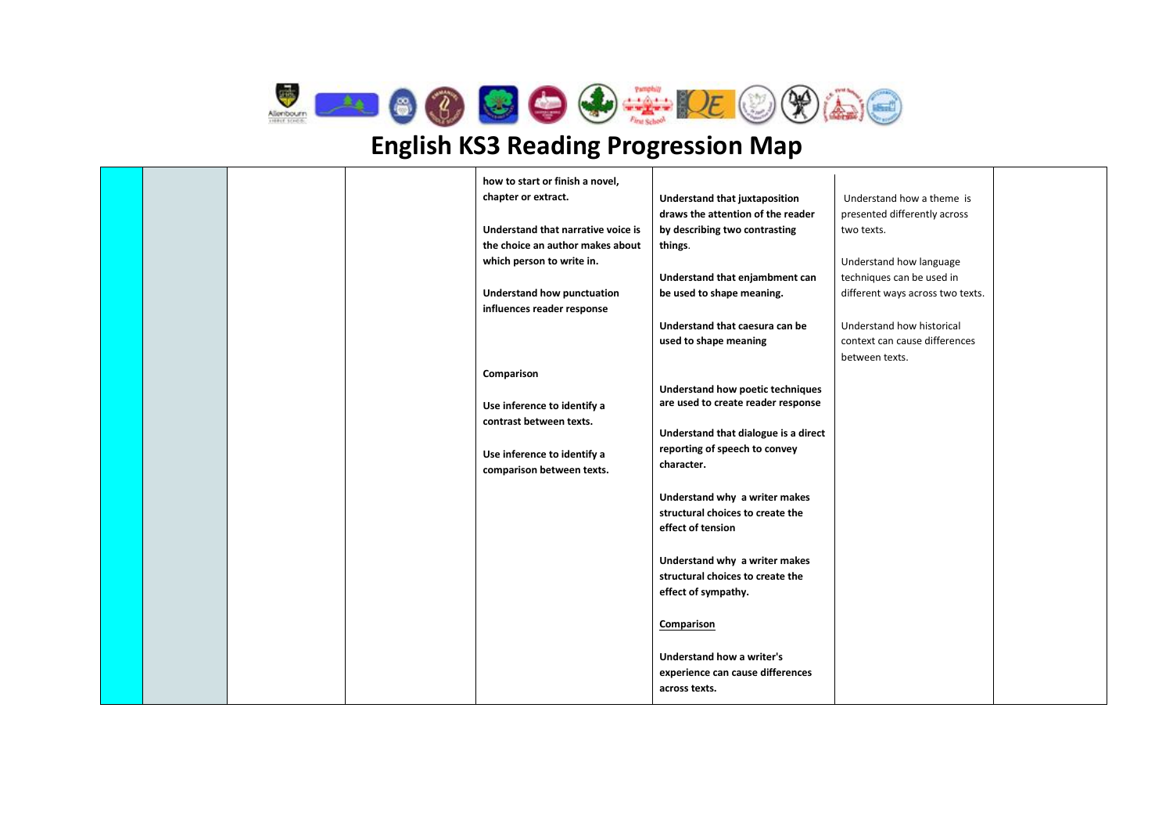

|  |  | how to start or finish a novel,<br>chapter or extract.<br>Understand that narrative voice is<br>the choice an author makes about<br>which person to write in.<br><b>Understand how punctuation</b><br>influences reader response<br>Comparison | Understand that juxtaposition<br>draws the attention of the reader<br>by describing two contrasting<br>things.<br>Understand that enjambment can<br>be used to shape meaning.<br>Understand that caesura can be<br>used to shape meaning<br>Understand how poetic techniques | Understand how a theme is<br>presented differently across<br>two texts.<br>Understand how language<br>techniques can be used in<br>different ways across two texts.<br>Understand how historical<br>context can cause differences<br>between texts. |  |
|--|--|------------------------------------------------------------------------------------------------------------------------------------------------------------------------------------------------------------------------------------------------|------------------------------------------------------------------------------------------------------------------------------------------------------------------------------------------------------------------------------------------------------------------------------|-----------------------------------------------------------------------------------------------------------------------------------------------------------------------------------------------------------------------------------------------------|--|
|  |  | contrast between texts.<br>Use inference to identify a<br>comparison between texts.                                                                                                                                                            | Understand that dialogue is a direct<br>reporting of speech to convey<br>character.<br>Understand why a writer makes<br>structural choices to create the<br>effect of tension                                                                                                |                                                                                                                                                                                                                                                     |  |
|  |  |                                                                                                                                                                                                                                                | Understand why a writer makes<br>structural choices to create the<br>effect of sympathy.<br>Comparison<br>Understand how a writer's<br>experience can cause differences<br>across texts.                                                                                     |                                                                                                                                                                                                                                                     |  |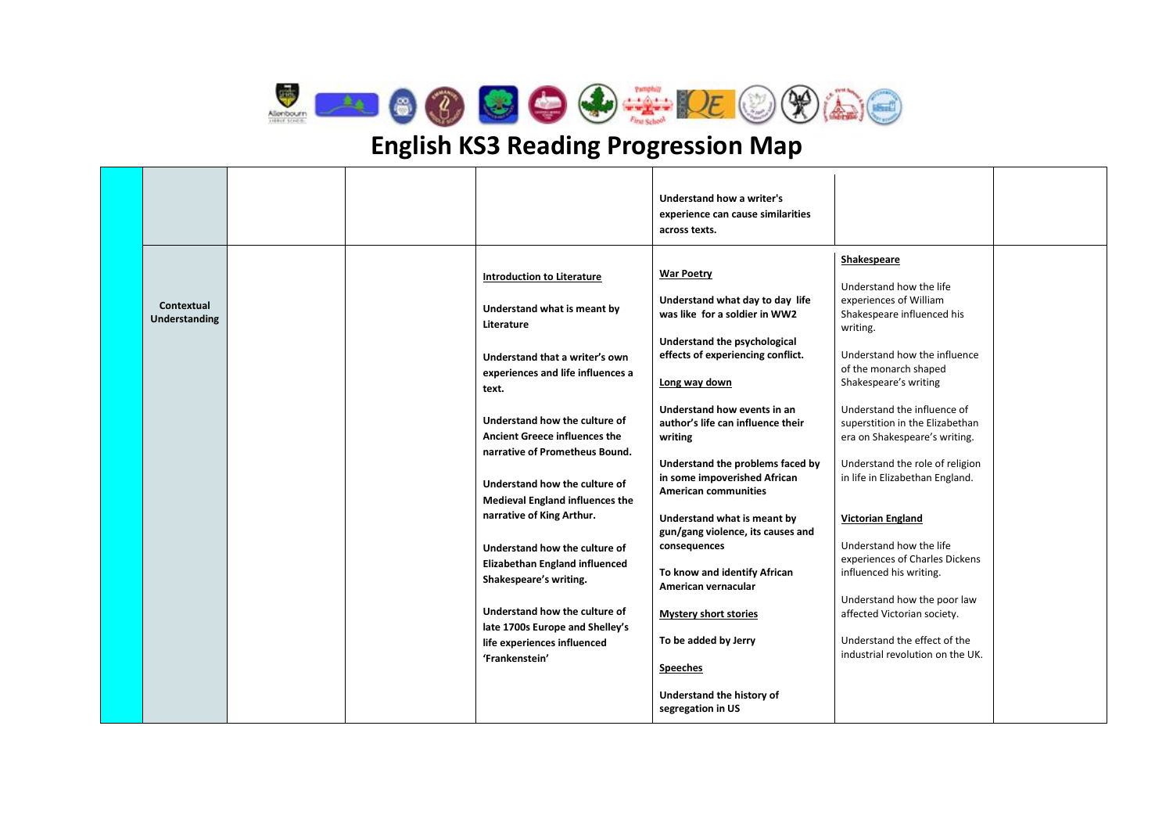

|                             |  |                                                                                                                                                                                                                                                                                                                                                                            | Understand how a writer's<br>experience can cause similarities<br>across texts.                                                                                                                                                                                                                                                                                                              |                                                                                                                                                                                                                                                                                                                                                                                                   |  |
|-----------------------------|--|----------------------------------------------------------------------------------------------------------------------------------------------------------------------------------------------------------------------------------------------------------------------------------------------------------------------------------------------------------------------------|----------------------------------------------------------------------------------------------------------------------------------------------------------------------------------------------------------------------------------------------------------------------------------------------------------------------------------------------------------------------------------------------|---------------------------------------------------------------------------------------------------------------------------------------------------------------------------------------------------------------------------------------------------------------------------------------------------------------------------------------------------------------------------------------------------|--|
| Contextual<br>Understanding |  | <b>Introduction to Literature</b><br>Understand what is meant by<br>Literature<br>Understand that a writer's own<br>experiences and life influences a<br>text.<br>Understand how the culture of<br>Ancient Greece influences the<br>narrative of Prometheus Bound.<br>Understand how the culture of<br><b>Medieval England influences the</b><br>narrative of King Arthur. | <b>War Poetry</b><br>Understand what day to day life<br>was like for a soldier in WW2<br>Understand the psychological<br>effects of experiencing conflict.<br>Long way down<br>Understand how events in an<br>author's life can influence their<br>writing<br>Understand the problems faced by<br>in some impoverished African<br><b>American communities</b><br>Understand what is meant by | Shakespeare<br>Understand how the life<br>experiences of William<br>Shakespeare influenced his<br>writing.<br>Understand how the influence<br>of the monarch shaped<br>Shakespeare's writing<br>Understand the influence of<br>superstition in the Elizabethan<br>era on Shakespeare's writing.<br>Understand the role of religion<br>in life in Elizabethan England.<br><b>Victorian England</b> |  |
|                             |  | Understand how the culture of<br><b>Elizabethan England influenced</b><br>Shakespeare's writing.<br>Understand how the culture of<br>late 1700s Europe and Shelley's<br>life experiences influenced<br>'Frankenstein'                                                                                                                                                      | gun/gang violence, its causes and<br>consequences<br>To know and identify African<br>American vernacular<br><b>Mystery short stories</b><br>To be added by Jerry<br><b>Speeches</b><br>Understand the history of<br>segregation in US                                                                                                                                                        | Understand how the life<br>experiences of Charles Dickens<br>influenced his writing.<br>Understand how the poor law<br>affected Victorian society.<br>Understand the effect of the<br>industrial revolution on the UK.                                                                                                                                                                            |  |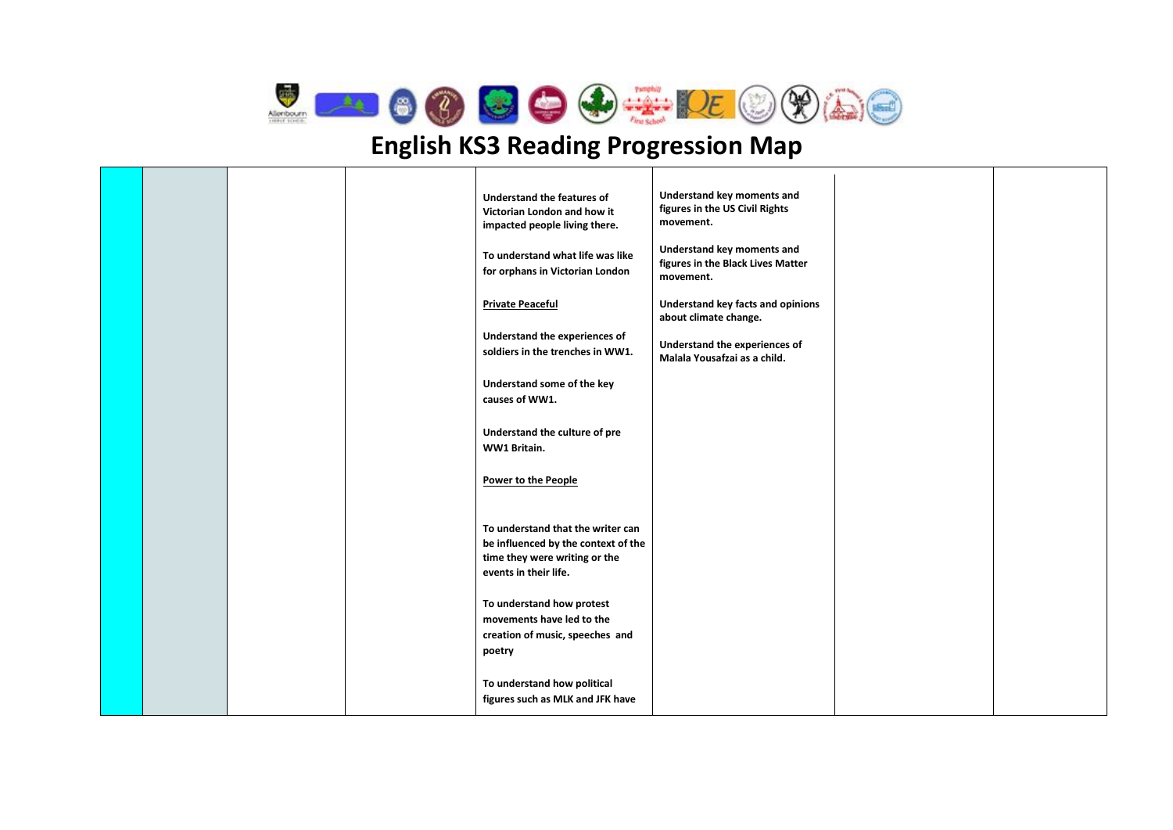

 $\top$ 

 $\overline{\phantom{a}}$ 

|  |  | Understand the features of<br>Victorian London and how it<br>impacted people living there.                                         | Understand key moments and<br>figures in the US Civil Rights<br>movement.    |  |
|--|--|------------------------------------------------------------------------------------------------------------------------------------|------------------------------------------------------------------------------|--|
|  |  | To understand what life was like<br>for orphans in Victorian London                                                                | Understand key moments and<br>figures in the Black Lives Matter<br>movement. |  |
|  |  | <b>Private Peaceful</b>                                                                                                            | Understand key facts and opinions<br>about climate change.                   |  |
|  |  | Understand the experiences of<br>soldiers in the trenches in WW1.                                                                  | Understand the experiences of<br>Malala Yousafzai as a child.                |  |
|  |  | Understand some of the key<br>causes of WW1.                                                                                       |                                                                              |  |
|  |  | Understand the culture of pre<br>WW1 Britain.                                                                                      |                                                                              |  |
|  |  | Power to the People                                                                                                                |                                                                              |  |
|  |  | To understand that the writer can<br>be influenced by the context of the<br>time they were writing or the<br>events in their life. |                                                                              |  |
|  |  | To understand how protest<br>movements have led to the<br>creation of music, speeches and<br>poetry                                |                                                                              |  |
|  |  | To understand how political<br>figures such as MLK and JFK have                                                                    |                                                                              |  |